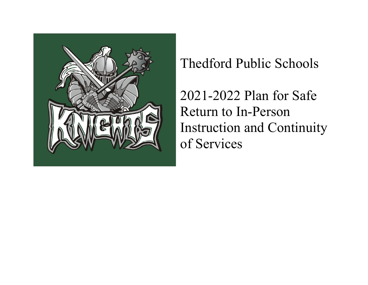

Thedford Public Schools

2021-2022 Plan for Safe Return to In-Person Instruction and Continuity of Services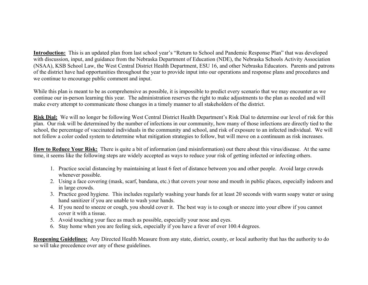**Introduction:** This is an updated plan from last school year's "Return to School and Pandemic Response Plan" that was developed with discussion, input, and guidance from the Nebraska Department of Education (NDE), the Nebraska Schools Activity Association (NSAA), KSB School Law, the West Central District Health Department, ESU 16, and other Nebraska Educators. Parents and patrons of the district have had opportunities throughout the year to provide input into our operations and response plans and procedures and we continue to encourage public comment and input.

While this plan is meant to be as comprehensive as possible, it is impossible to predict every scenario that we may encounter as we continue our in-person learning this year. The administration reserves the right to make adjustments to the plan as needed and will make every attempt to communicate those changes in a timely manner to all stakeholders of the district.

**Risk Dial:** We will no longer be following West Central District Health Department's Risk Dial to determine our level of risk for this plan. Our risk will be determined by the number of infections in our community, how many of those infections are directly tied to the school, the percentage of vaccinated individuals in the community and school, and risk of exposure to an infected individual. We will not follow a color coded system to determine what mitigation strategies to follow, but will move on a continuum as risk increases.

**How to Reduce Your Risk:** There is quite a bit of information (and misinformation) out there about this virus/disease. At the same time, it seems like the following steps are widely accepted as ways to reduce your risk of getting infected or infecting others.

- 1. Practice social distancing by maintaining at least 6 feet of distance between you and other people. Avoid large crowds whenever possible.
- 2. Using a face covering (mask, scarf, bandana, etc.) that covers your nose and mouth in public places, especially indoors and in large crowds.
- 3. Practice good hygiene. This includes regularly washing your hands for at least 20 seconds with warm soapy water or using hand sanitizer if you are unable to wash your hands.
- 4. If you need to sneeze or cough, you should cover it. The best way is to cough or sneeze into your elbow if you cannot cover it with a tissue.
- 5. Avoid touching your face as much as possible, especially your nose and eyes.
- 6. Stay home when you are feeling sick, especially if you have a fever of over 100.4 degrees.

**Reopening Guidelines:** Any Directed Health Measure from any state, district, county, or local authority that has the authority to do so will take precedence over any of these guidelines.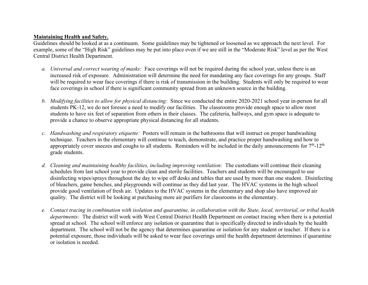## **Maintaining Health and Safety.**

Guidelines should be looked at as a continuum. Some guidelines may be tightened or loosened as we approach the next level. For example, some of the "High Risk" guidelines may be put into place even if we are still in the "Moderate Risk" level as per the West Central District Health Department.

- *a. Universal and correct wearing of masks:* Face coverings will not be required during the school year, unless there is an increased risk of exposure. Administration will determine the need for mandating any face coverings for any groups. Staff will be required to wear face coverings if there is risk of transmission in the building. Students will only be required to wear face coverings in school if there is significant community spread from an unknown source in the building.
- *b. Modifying facilities to allow for physical distancing:* Since we conducted the entire 2020-2021 school year in-person for all students PK-12, we do not foresee a need to modify our facilities. The classrooms provide enough space to allow most students to have six feet of separation from others in their classes. The cafeteria, hallways, and gym space is adequate to provide a chance to observe appropriate physical distancing for all students.
- *c. Handwashing and respiratory etiquette:* Posters will remain in the bathrooms that will instruct on proper handwashing technique. Teachers in the elementary will continue to teach, demonstrate, and practice proper handwashing and how to appropriately cover sneezes and coughs to all students. Reminders will be included in the daily announcements for  $7<sup>th</sup>$ -12<sup>th</sup> grade students.
- *d. Cleaning and maintaining healthy facilities, including improving ventilation:* The custodians will continue their cleaning schedules from last school year to provide clean and sterile facilities. Teachers and students will be encouraged to use disinfecting wipes/sprays throughout the day to wipe off desks and tables that are used by more than one student. Disinfecting of bleachers, game benches, and playgrounds will continue as they did last year. The HVAC systems in the high school provide good ventilation of fresh air.Updates to the HVAC systems in the elementary and shop also have improved air quality. The district will be looking at purchasing more air purifiers for classrooms in the elementary.
- *e. Contact tracing in combination with isolation and quarantine, in collaboration with the State, local, territorial, or tribal health departments:* The district will work with West Central District Health Department on contact tracing when there is a potential spread at school. The school will enforce any isolation or quarantine that is specifically directed to individuals by the health department. The school will not be the agency that determines quarantine or isolation for any student or teacher. If there is a potential exposure, those individuals will be asked to wear face coverings until the health department determines if quarantine or isolation is needed.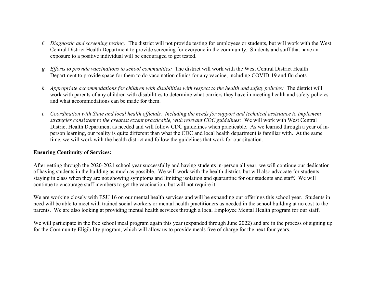- *f. Diagnostic and screening testing:* The district will not provide testing for employees or students, but will work with the West Central District Health Department to provide screening for everyone in the community. Students and staff that have an exposure to a positive individual will be encouraged to get tested.
- *g. Efforts to provide vaccinations to school communities:* The district will work with the West Central District Health Department to provide space for them to do vaccination clinics for any vaccine, including COVID-19 and flu shots.
- *h. Appropriate accommodations for children with disabilities with respect to the health and safety policies:* The district will work with parents of any children with disabilities to determine what barriers they have in meeting health and safety policies and what accommodations can be made for them.
- *i. Coordination with State and local health officials. Including the needs for support and technical assistance to implement strategies consistent to the greatest extent practicable, with relevant CDC guidelines:* We will work with West Central District Health Department as needed and will follow CDC guidelines when practicable. As we learned through a year of inperson learning, our reality is quite different than what the CDC and local health department is familiar with. At the same time, we will work with the health district and follow the guidelines that work for our situation.

## **Ensuring Continuity of Services:**

After getting through the 2020-2021 school year successfully and having students in-person all year, we will continue our dedication of having students in the building as much as possible. We will work with the health district, but will also advocate for students staying in class when they are not showing symptoms and limiting isolation and quarantine for our students and staff. We will continue to encourage staff members to get the vaccination, but will not require it.

We are working closely with ESU 16 on our mental health services and will be expanding our offerings this school year. Students in need will be able to meet with trained social workers or mental health practitioners as needed in the school building at no cost to the parents. We are also looking at providing mental health services through a local Employee Mental Health program for our staff.

We will participate in the free school meal program again this year (expanded through June 2022) and are in the process of signing up for the Community Eligibility program, which will allow us to provide meals free of charge for the next four years.